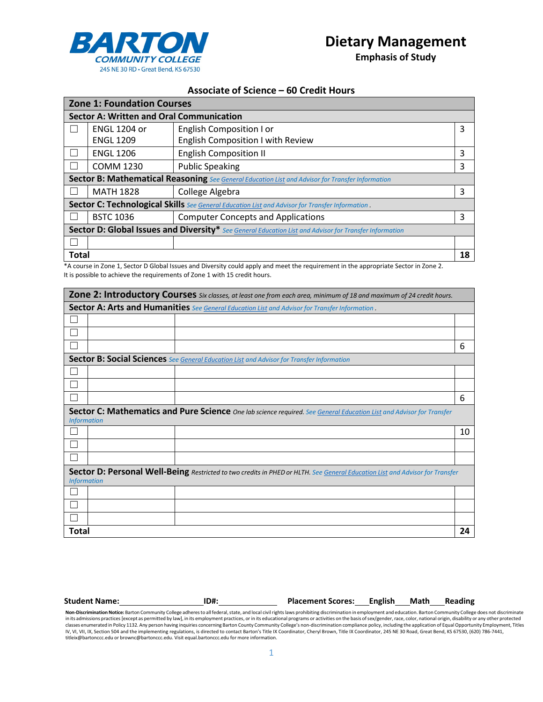

**Emphasis of Study**

## **Associate of Science – 60 Credit Hours**

| <b>Zone 1: Foundation Courses</b>                                                                       |                     |                                           |   |  |  |  |
|---------------------------------------------------------------------------------------------------------|---------------------|-------------------------------------------|---|--|--|--|
| <b>Sector A: Written and Oral Communication</b>                                                         |                     |                                           |   |  |  |  |
|                                                                                                         | <b>ENGL 1204 or</b> | English Composition I or                  | 3 |  |  |  |
|                                                                                                         | <b>ENGL 1209</b>    | <b>English Composition I with Review</b>  |   |  |  |  |
|                                                                                                         | <b>ENGL 1206</b>    | <b>English Composition II</b>             | 3 |  |  |  |
|                                                                                                         | <b>COMM 1230</b>    | <b>Public Speaking</b>                    | 3 |  |  |  |
| <b>Sector B: Mathematical Reasoning</b> See General Education List and Advisor for Transfer Information |                     |                                           |   |  |  |  |
|                                                                                                         | <b>MATH 1828</b>    | College Algebra                           | 3 |  |  |  |
| Sector C: Technological Skills See General Education List and Advisor for Transfer Information.         |                     |                                           |   |  |  |  |
|                                                                                                         | <b>BSTC 1036</b>    | <b>Computer Concepts and Applications</b> | 3 |  |  |  |
| Sector D: Global Issues and Diversity* See General Education List and Advisor for Transfer Information  |                     |                                           |   |  |  |  |
|                                                                                                         |                     |                                           |   |  |  |  |
|                                                                                                         | <b>Total</b>        |                                           |   |  |  |  |

\*A course in Zone 1, Sector D Global Issues and Diversity could apply and meet the requirement in the appropriate Sector in Zone 2. It is possible to achieve the requirements of Zone 1 with 15 credit hours.

| Zone 2: Introductory Courses Six classes, at least one from each area, minimum of 18 and maximum of 24 credit hours.                               |  |                                                                                                  |    |  |  |
|----------------------------------------------------------------------------------------------------------------------------------------------------|--|--------------------------------------------------------------------------------------------------|----|--|--|
| Sector A: Arts and Humanities See General Education List and Advisor for Transfer Information.                                                     |  |                                                                                                  |    |  |  |
|                                                                                                                                                    |  |                                                                                                  |    |  |  |
|                                                                                                                                                    |  |                                                                                                  |    |  |  |
|                                                                                                                                                    |  |                                                                                                  | 6  |  |  |
|                                                                                                                                                    |  | <b>Sector B: Social Sciences</b> See General Education List and Advisor for Transfer Information |    |  |  |
|                                                                                                                                                    |  |                                                                                                  |    |  |  |
|                                                                                                                                                    |  |                                                                                                  |    |  |  |
|                                                                                                                                                    |  |                                                                                                  | 6  |  |  |
| Sector C: Mathematics and Pure Science One lab science required. See General Education List and Advisor for Transfer<br><b>Information</b>         |  |                                                                                                  |    |  |  |
|                                                                                                                                                    |  |                                                                                                  | 10 |  |  |
|                                                                                                                                                    |  |                                                                                                  |    |  |  |
|                                                                                                                                                    |  |                                                                                                  |    |  |  |
| Sector D: Personal Well-Being Restricted to two credits in PHED or HLTH. See General Education List and Advisor for Transfer<br><b>Information</b> |  |                                                                                                  |    |  |  |
|                                                                                                                                                    |  |                                                                                                  |    |  |  |
|                                                                                                                                                    |  |                                                                                                  |    |  |  |
|                                                                                                                                                    |  |                                                                                                  |    |  |  |
| <b>Total</b>                                                                                                                                       |  |                                                                                                  | 24 |  |  |

| <b>Student Name:</b><br><b>ID#.</b> | <b>Placement Scores:</b> | English | Math | Reading |
|-------------------------------------|--------------------------|---------|------|---------|
|-------------------------------------|--------------------------|---------|------|---------|

Non-Discrimination Notice: Barton Community College adheres to all federal, state, and local civil rights laws prohibiting discrimination in employment and education. Barton Community College does not discriminate in its admissions practices [except as permitted by law], in its employment practices, or in its educational programs or activities on the basis of sex/gender, race, color, national origin, disability or any other protecte IV, VI, VII, IX, Section 504 and the implementing regulations, is directed to contact Barton's Title IX Coordinator, Cheryl Brown, Title IX Coordinator, 245 NE 30 Road, Great Bend, KS 67530, (620) 786-7441, [titleix@bartonccc.edu](mailto:titleix@bartonccc.edu) or [brownc@bartonccc.edu.](mailto:brownc@bartonccc.edu) Visit equal.bartonccc.edu for more information.